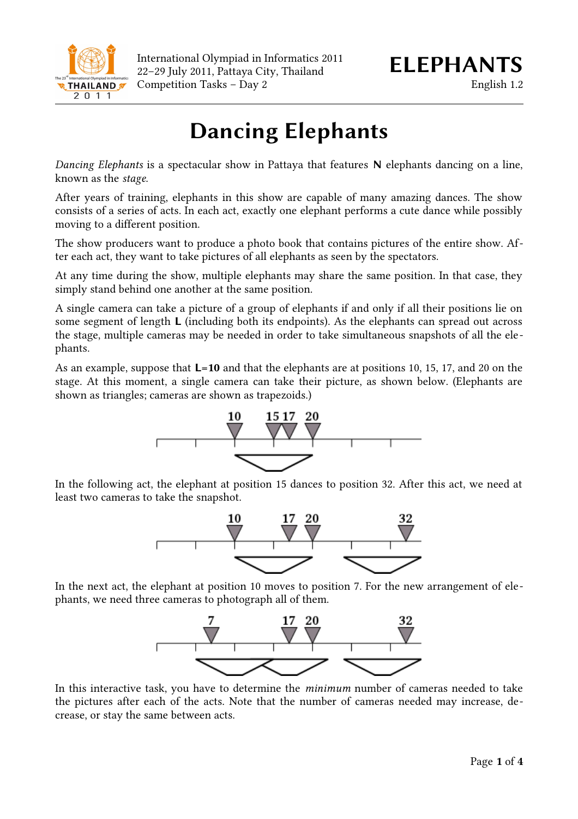

International Olympiad in Informatics 2011 22–29 July 2011, Pattaya City, Thailand *ELEPHANTS* Competition Tasks – Day 2 English 1.2

# **Dancing Elephants**

*Dancing Elephants* is a spectacular show in Pattaya that features **N** elephants dancing on a line, known as the *stage*.

After years of training, elephants in this show are capable of many amazing dances. The show consists of a series of acts. In each act, exactly one elephant performs a cute dance while possibly moving to a different position.

The show producers want to produce a photo book that contains pictures of the entire show. After each act, they want to take pictures of all elephants as seen by the spectators.

At any time during the show, multiple elephants may share the same position. In that case, they simply stand behind one another at the same position.

A single camera can take a picture of a group of elephants if and only if all their positions lie on some segment of length **L** (including both its endpoints). As the elephants can spread out across the stage, multiple cameras may be needed in order to take simultaneous snapshots of all the elephants.

As an example, suppose that **L=10** and that the elephants are at positions 10, 15, 17, and 20 on the stage. At this moment, a single camera can take their picture, as shown below. (Elephants are shown as triangles; cameras are shown as trapezoids.)



In the following act, the elephant at position 15 dances to position 32. After this act, we need at least two cameras to take the snapshot.



In the next act, the elephant at position 10 moves to position 7. For the new arrangement of elephants, we need three cameras to photograph all of them.



In this interactive task, you have to determine the *minimum* number of cameras needed to take the pictures after each of the acts. Note that the number of cameras needed may increase, decrease, or stay the same between acts.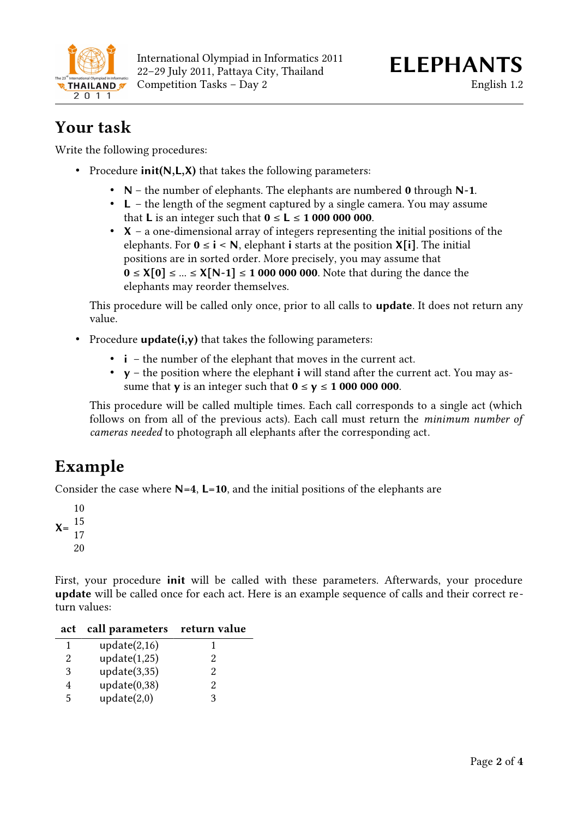

### **Your task**

Write the following procedures:

- Procedure **init(N,L,X)** that takes the following parameters:
	- **N** the number of elephants. The elephants are numbered **0** through **N-1**.
	- **L** the length of the segment captured by a single camera. You may assume that **L** is an integer such that  $0 \le L \le 100000000$ .
	- **X** a one-dimensional array of integers representing the initial positions of the elephants. For  $0 \le i \le N$ , elephant **i** starts at the position **X**[i]. The initial positions are in sorted order. More precisely, you may assume that **0** ≤ **X[0]** ≤ ... ≤ **X[N-1]** ≤ **1 000 000 000**. Note that during the dance the elephants may reorder themselves.

This procedure will be called only once, prior to all calls to **update**. It does not return any value.

- Procedure **update(i,y)** that takes the following parameters:
	- **i** the number of the elephant that moves in the current act.
	- **y** the position where the elephant **i** will stand after the current act. You may assume that **y** is an integer such that  $0 \le y \le 100000000$ .

This procedure will be called multiple times. Each call corresponds to a single act (which follows on from all of the previous acts). Each call must return the *minimum number of cameras needed* to photograph all elephants after the corresponding act.

# **Example**

Consider the case where **N=4**, **L=10**, and the initial positions of the elephants are

First, your procedure **init** will be called with these parameters. Afterwards, your procedure **update** will be called once for each act. Here is an example sequence of calls and their correct return values:

| act | call parameters return value |                             |
|-----|------------------------------|-----------------------------|
| 1   | update $(2,16)$              |                             |
| 2   | update(1,25)                 | 2                           |
| 3   | update(3,35)                 | $\mathcal{D}_{\mathcal{L}}$ |
|     | update(0,38)                 | 2                           |
| 5   | update(2,0)                  | ዓ                           |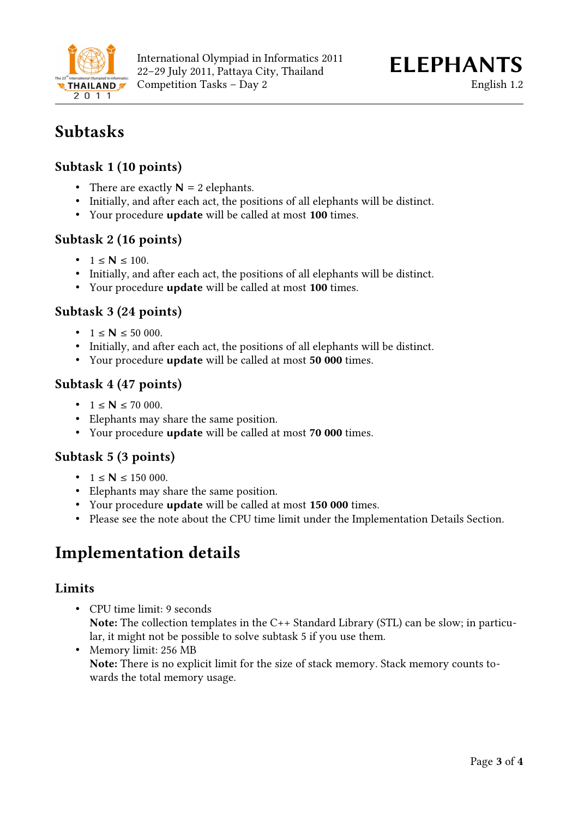

## **Subtasks**

#### **Subtask 1 (10 points)**

- There are exactly  $N = 2$  elephants.
- Initially, and after each act, the positions of all elephants will be distinct.
- Your procedure **update** will be called at most **100** times.

#### **Subtask 2 (16 points)**

- $1 \le N \le 100$ .
- Initially, and after each act, the positions of all elephants will be distinct.
- Your procedure **update** will be called at most **100** times.

#### **Subtask 3 (24 points)**

- $1 \le N \le 50000$ .
- Initially, and after each act, the positions of all elephants will be distinct.
- Your procedure **update** will be called at most **50 000** times.

#### **Subtask 4 (47 points)**

- $1 \le N \le 70000$ .
- Elephants may share the same position.
- Your procedure **update** will be called at most **70 000** times.

#### **Subtask 5 (3 points)**

- $1 \le N \le 150000$ .
- Elephants may share the same position.
- Your procedure **update** will be called at most **150 000** times.
- Please see the note about the CPU time limit under the Implementation Details Section.

### **Implementation details**

#### **Limits**

- CPU time limit: 9 seconds **Note:** The collection templates in the C++ Standard Library (STL) can be slow; in particular, it might not be possible to solve subtask 5 if you use them.
- Memory limit: 256 MB **Note:** There is no explicit limit for the size of stack memory. Stack memory counts towards the total memory usage.